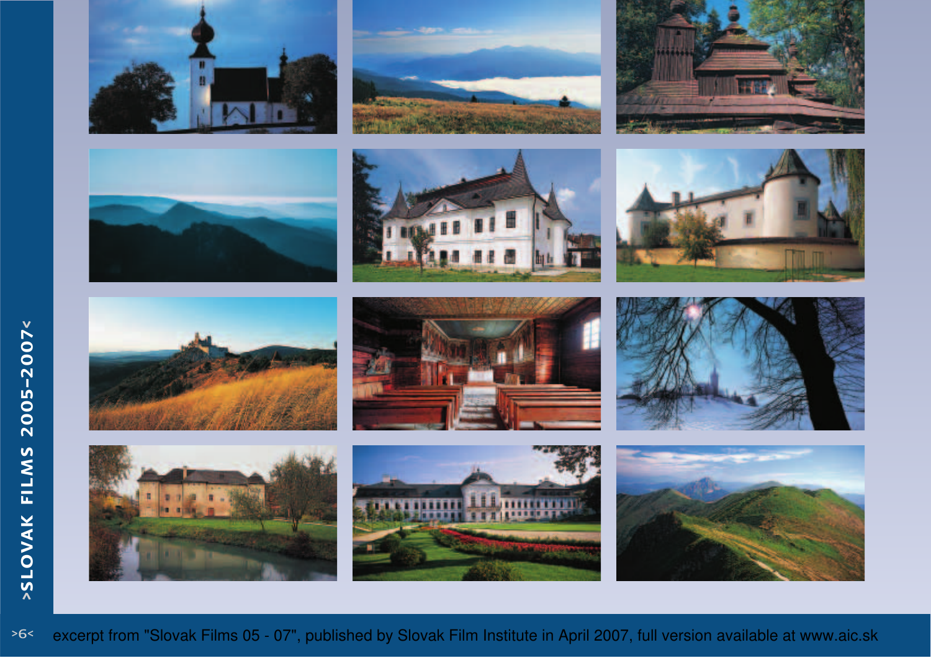























>6<excerpt from "Slovak Films 05 - 07", published by Slovak Film Institute in April 2007, full version available at www.aic.sk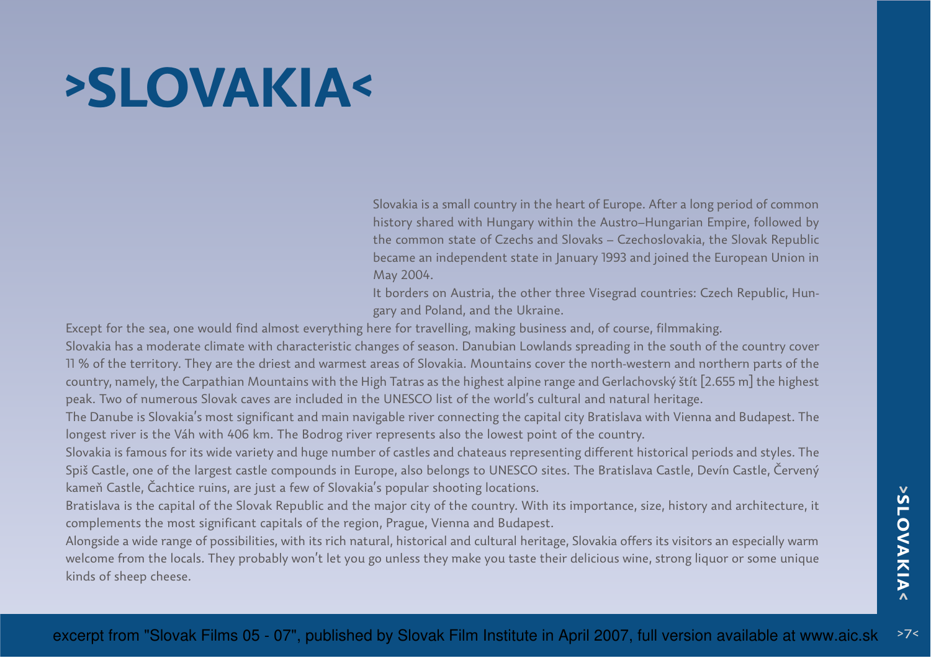# **>SLOVAKIA<**

Slovakia is a small country in the heart of Europe. After a long period of common history shared with Hungary within the Austro–Hungarian Empire, followed by the common state of Czechs and Slovaks – Czechoslovakia, the Slovak Republic became an independent state in January 1993 and joined the European Union inMay 2004.

It borders on Austria, the other three Visegrad countries: Czech Republic, Hungary and Poland, and the Ukraine.

Except for the sea, one would find almost everything here for travelling, making business and, of course, filmmaking.

Slovakia has a moderate climate with characteristic changes of season. Danubian Lowlands spreading in the south of the country cover11 % of the territory. They are the driest and warmest areas of Slovakia. Mountains cover the north-western and northern parts of the country, namely, the Carpathian Mountains with the High Tatras as the highest alpine range and Gerlachovský štít [2.655 m] the highestpeak. Two of numerous Slovak caves are included in the UNESCO list of the world's cultural and natural heritage.

The Danube is Slovakia's most significant and main navigable river connecting the capital city Bratislava with Vienna and Budapest. Thelongest river is the Váh with 406 km. The Bodrog river represents also the lowest point of the country.

Slovakia is famous for its wide variety and huge number of castles and chateaus representing different historical periods and styles. The Spiš Castle, one of the largest castle compounds in Europe, also belongs to UNESCO sites. The Bratislava Castle, Devín Castle, Červenýkameň Castle, Čachtice ruins, are just a few of Slovakia's popular shooting locations.

Bratislava is the capital of the Slovak Republic and the major city of the country. With its importance, size, history and architecture, itcomplements the most significant capitals of the region, Prague, Vienna and Budapest.

Alongside a wide range of possibilities, with its rich natural, historical and cultural heritage, Slovakia offers its visitors an especially warm welcome from the locals. They probably won't let you go unless they make you taste their delicious wine, strong liquor or some uniquekinds of sheep cheese.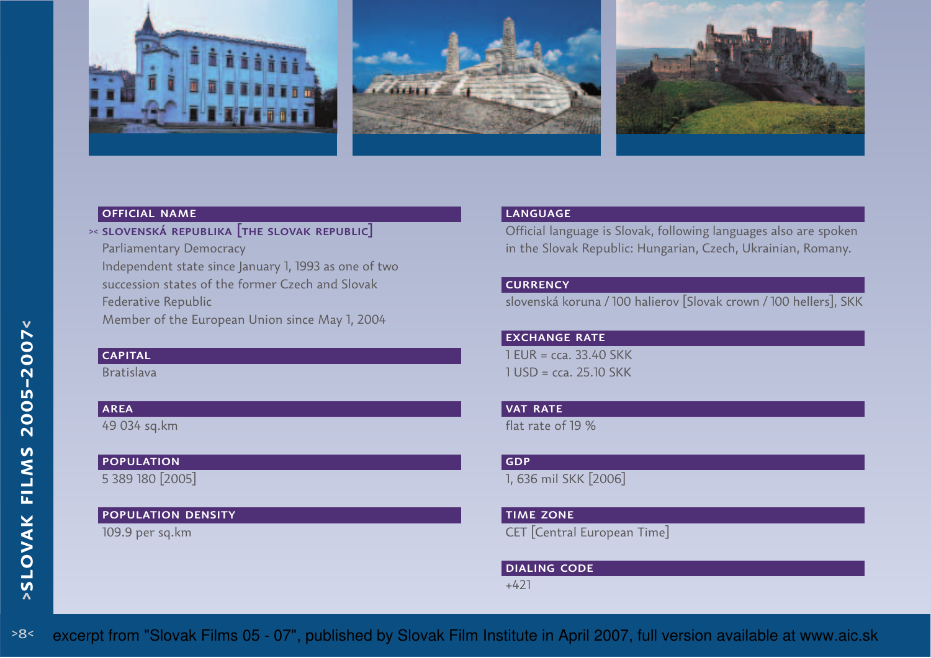





## official name

 $\times$  slovenská republika  $\bm{\mathsf{\small{[THE \texttt{SLOVAK \texttt{REPUBLIC}]}}}$ Parliamentary Democracy Independent state since January 1, 1993 as one of two succession states of the former Czech and Slovak

Federative Republic

Member of the European Union since May 1, 2004

# **CAPITAL**

Bratislava

# **AREA**

49 034 sq.km

# **POPULATION**

5 389 180 [2005]

## population density

109.9 per sq.km

## language

 Official language is Slovak, following languages also are spokenin the Slovak Republic: Hungarian, Czech, Ukrainian, Romany.

## **CURRENCY**

slovenská koruna / 100 halierov [Slovak crown / 100 hellers], SKK

**EXCHANGE RATE**  $1$  EUR = cca. 33.40 SKK 1 USD = cca. 25.10 SKK

# **VAT RATE**

flat rate of 19 %

# GDP

1, 636 mil SKK [2006]

time zoneCET [Central European Time]

DIALING CODE

+421